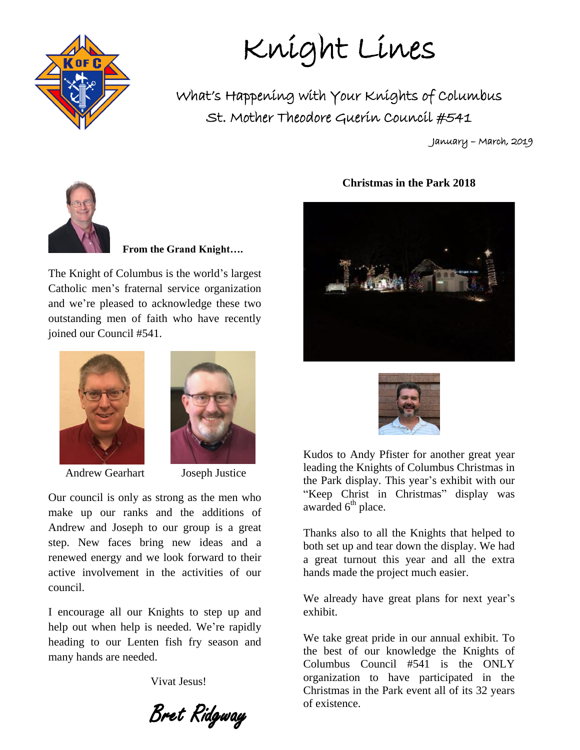

Knight Lines

What's Happening with Your Knights of Columbus St. Mother Theodore Guerin Council #541

January – March, 2019



 **From the Grand Knight….**

The Knight of Columbus is the world's largest Catholic men's fraternal service organization and we're pleased to acknowledge these two outstanding men of faith who have recently joined our Council #541.



Andrew Gearhart Joseph Justice



Our council is only as strong as the men who make up our ranks and the additions of Andrew and Joseph to our group is a great step. New faces bring new ideas and a renewed energy and we look forward to their active involvement in the activities of our council.

I encourage all our Knights to step up and help out when help is needed. We're rapidly heading to our Lenten fish fry season and many hands are needed.

Vivat Jesus!

Bret Ridgway

#### **Christmas in the Park 2018**





Kudos to Andy Pfister for another great year leading the Knights of Columbus Christmas in the Park display. This year's exhibit with our "Keep Christ in Christmas" display was awarded  $6<sup>th</sup>$  place.

Thanks also to all the Knights that helped to both set up and tear down the display. We had a great turnout this year and all the extra hands made the project much easier.

We already have great plans for next year's exhibit.

We take great pride in our annual exhibit. To the best of our knowledge the Knights of Columbus Council #541 is the ONLY organization to have participated in the Christmas in the Park event all of its 32 years of existence.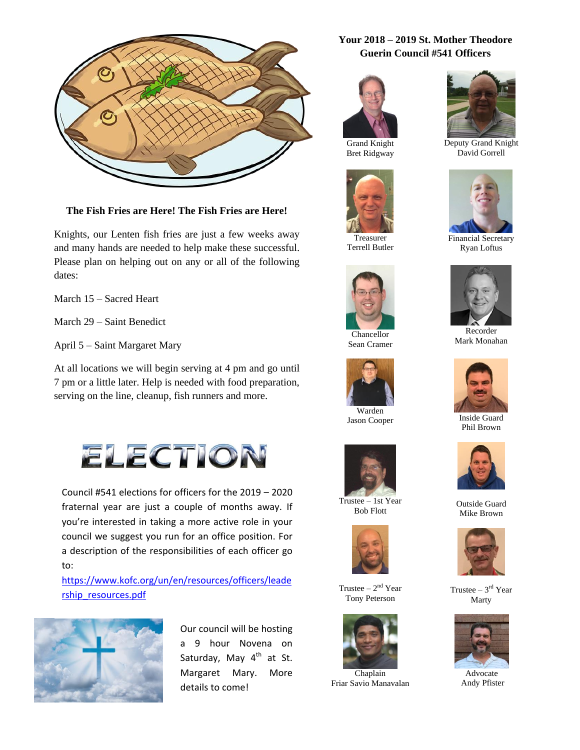

**The Fish Fries are Here! The Fish Fries are Here!**

Knights, our Lenten fish fries are just a few weeks away and many hands are needed to help make these successful. Please plan on helping out on any or all of the following dates:

March 15 – Sacred Heart

March 29 – Saint Benedict

April 5 – Saint Margaret Mary

At all locations we will begin serving at 4 pm and go until 7 pm or a little later. Help is needed with food preparation, serving on the line, cleanup, fish runners and more.



Council #541 elections for officers for the 2019 – 2020 fraternal year are just a couple of months away. If you're interested in taking a more active role in your council we suggest you run for an office position. For a description of the responsibilities of each officer go to:

[https://www.kofc.org/un/en/resources/officers/leade](https://www.kofc.org/un/en/resources/officers/leadership_resources.pdf) [rship\\_resources.pdf](https://www.kofc.org/un/en/resources/officers/leadership_resources.pdf)



Our council will be hosting a 9 hour Novena on Saturday, May  $4<sup>th</sup>$  at St. Margaret Mary. More details to come!

#### **Your 2018 – 2019 St. Mother Theodore Guerin Council #541 Officers**



Grand Knight Bret Ridgway



Treasurer Terrell Butler



Chancellor Sean Cramer



Jason Cooper



Trustee – 1st Year Bob Flott



Trustee  $-2<sup>nd</sup>$  Year Tony Peterson



Friar Savio Manavalan



Deputy Grand Knight David Gorrell



Financial Secretary Ryan Loftus



Recorder Mark Monahan



Inside Guard Phil Brown



Outside Guard Mike Brown



Trustee  $-3<sup>rd</sup>$  Year Marty



 Advocate Andy Pfister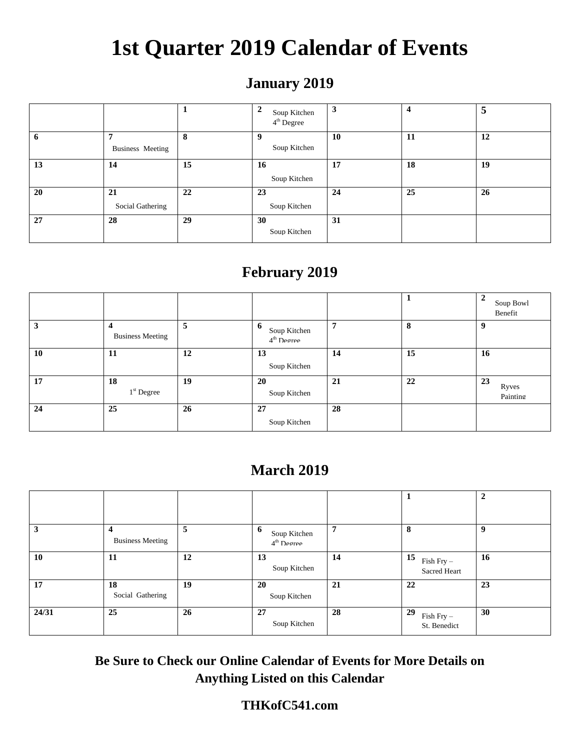# **1st Quarter 2019 Calendar of Events**

## **January 2019**

|             |                  |    | $\mathbf{2}$<br>Soup Kitchen<br>4 <sup>th</sup> Degree | 3  | $\overline{\mathbf{4}}$ | 5  |
|-------------|------------------|----|--------------------------------------------------------|----|-------------------------|----|
| $\mathbf b$ |                  | 8  |                                                        | 10 | 11                      | 12 |
|             | Business Meeting |    | Soup Kitchen                                           |    |                         |    |
| 13          | 14               | 15 | 16                                                     | 17 | 18                      | 19 |
|             |                  |    | Soup Kitchen                                           |    |                         |    |
| 20          | 21               | 22 | 23                                                     | 24 | 25                      | 26 |
|             | Social Gathering |    | Soup Kitchen                                           |    |                         |    |
| 27          | 28               | 29 | 30                                                     | 31 |                         |    |
|             |                  |    | Soup Kitchen                                           |    |                         |    |
|             |                  |    |                                                        |    |                         |    |

## **February 2019**

|    |                                             |    |                                   |    |    | $\mathbf{2}$<br>Soup Bowl<br>Renefit |
|----|---------------------------------------------|----|-----------------------------------|----|----|--------------------------------------|
| 3  | $\boldsymbol{4}$<br><b>Business Meeting</b> | 5  | 6<br>Soup Kitchen<br>$4th$ Degree | 7  | 8  | 9                                    |
| 10 | 11                                          | 12 | 13<br>Soup Kitchen                | 14 | 15 | 16                                   |
| 17 | 18<br>$1st$ Degree                          | 19 | 20<br>Soup Kitchen                | 21 | 22 | 23<br>Ryves<br>Painting              |
| 24 | 25                                          | 26 | 27<br>Soup Kitchen                | 28 |    |                                      |

## **March 2019**

|       |                              |    |                                   |    |                                    | ↑           |
|-------|------------------------------|----|-----------------------------------|----|------------------------------------|-------------|
| 3     | 4<br><b>Business Meeting</b> | 5  | 6<br>Soup Kitchen<br>$4th$ Degree | 7  | 8                                  | $\mathbf Q$ |
| 10    | 11                           | 12 | 13<br>Soup Kitchen                | 14 | 15<br>$Fish Fry -$<br>Sacred Heart | <b>16</b>   |
| 17    | 18<br>Social Gathering       | 19 | 20<br>Soup Kitchen                | 21 | 22                                 | 23          |
| 24/31 | 25                           | 26 | 27<br>Soup Kitchen                | 28 | 29<br>Fish Fry-<br>St. Benedict    | 30          |

**Be Sure to Check our Online Calendar of Events for More Details on Anything Listed on this Calendar**

#### **THKofC541.com**